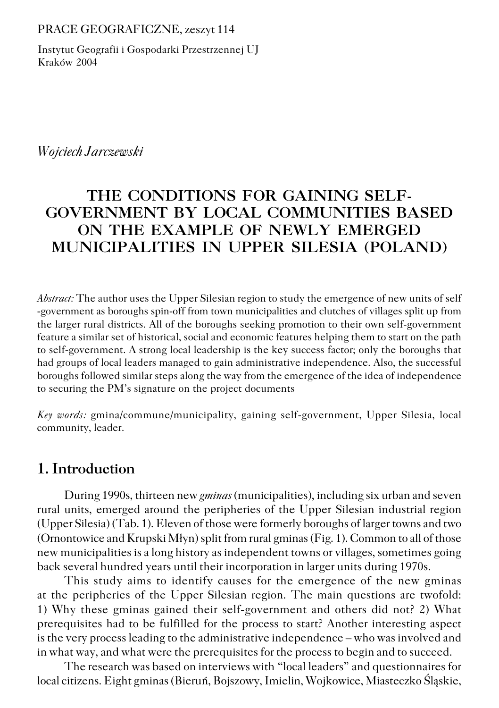#### PRACE GEOGRAFICZNE, zeszyt 114

Instytut Geografii i Gospodarki Przestrzennej UJ Kraków 2004

*Wojciech Jarczewski*

# **THE CONDITIONS FOR GAINING SELF− GOVERNMENT BY LOCAL COMMUNITIES BASED ON THE EXAMPLE OF NEWLY EMERGED MUNICIPALITIES IN UPPER SILESIA (POLAND)**

*Abstract:* The author uses the Upper Silesian region to study the emergence of new units of self −government as boroughs spin−off from town municipalities and clutches of villages split up from the larger rural districts. All of the boroughs seeking promotion to their own self−government feature a similar set of historical, social and economic features helping them to start on the path to self−government. A strong local leadership is the key success factor; only the boroughs that had groups of local leaders managed to gain administrative independence. Also, the successful boroughs followed similar steps along the way from the emergence of the idea of independence to securing the PM's signature on the project documents

*Key words:* gmina/commune/municipality, gaining self−government, Upper Silesia, local community, leader.

# **1. Introduction**

During 1990s, thirteen new *gminas* (municipalities), including six urban and seven rural units, emerged around the peripheries of the Upper Silesian industrial region (Upper Silesia) (Tab. 1). Eleven of those were formerly boroughs of larger towns and two (Ornontowice and Krupski Młyn) split from rural gminas (Fig. 1). Common to all of those new municipalities is a long history as independent towns or villages, sometimes going back several hundred years until their incorporation in larger units during 1970s.

This study aims to identify causes for the emergence of the new gminas at the peripheries of the Upper Silesian region. The main questions are twofold: 1) Why these gminas gained their self−government and others did not? 2) What prerequisites had to be fulfilled for the process to start? Another interesting aspect is the very process leading to the administrative independence – who was involved and in what way, and what were the prerequisites for the process to begin and to succeed.

The research was based on interviews with "local leaders" and questionnaires for local citizens. Eight gminas (Bieruń, Bojszowy, Imielin, Wojkowice, Miasteczko Śląskie,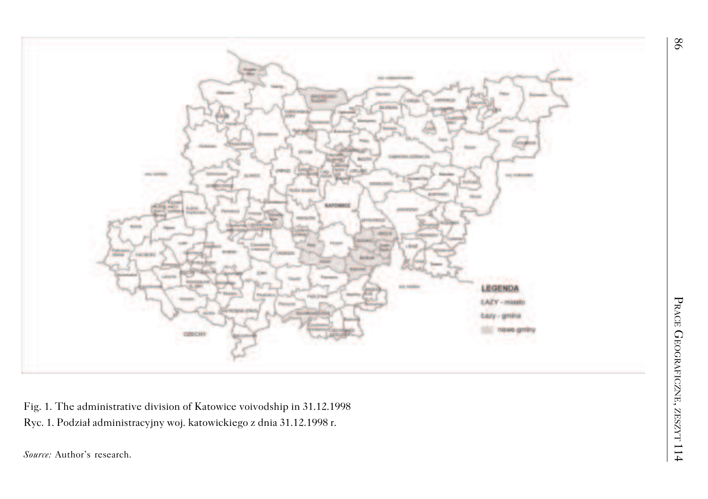

Fig. 1. The administrative division of Katowice voivodship in 31.12.1998 Ryc. 1. Podział administracyjny woj. katowickiego z dnia 31.12.1998 r. *Source:* Author's research.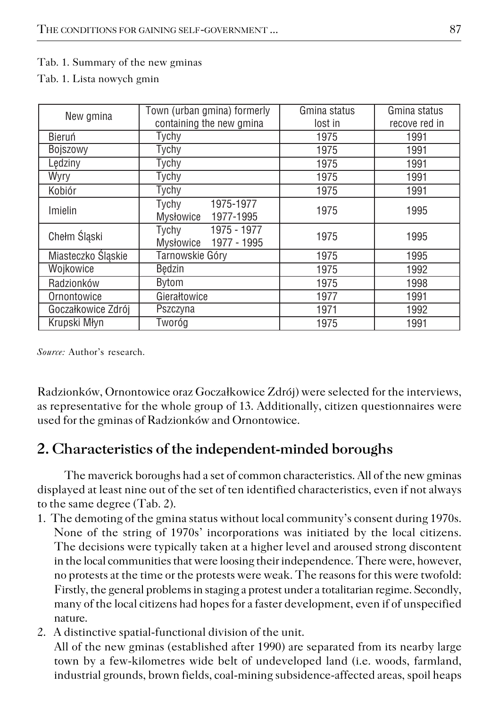### Tab. 1. Summary of the new gminas

Tab. 1. Lista nowych gmin

| New gmina          | Town (urban gmina) formerly                   | Gmina status | Gmina status  |  |  |
|--------------------|-----------------------------------------------|--------------|---------------|--|--|
|                    | containing the new gmina                      | lost in      | recove red in |  |  |
| Bieruń             | Tychy                                         | 1975         | 1991          |  |  |
| Bojszowy           | Tychy                                         | 1975         | 1991          |  |  |
| Lędziny            | Tychy                                         | 1975         | 1991          |  |  |
| Wyry               | Tychy                                         | 1975         | 1991          |  |  |
| Kobiór             | Tychy                                         | 1975         | 1991          |  |  |
| Imielin            | 1975-1977<br>Tychy<br>1977-1995<br>Mysłowice  | 1975         | 1995          |  |  |
| Chełm Śląski       | 1975 - 1977<br>Tychy<br>Mysłowice 1977 - 1995 | 1975         | 1995          |  |  |
| Miasteczko Śląskie | Tarnowskie Góry                               | 1975         | 1995          |  |  |
| Wojkowice          | <b>Bedzin</b>                                 | 1975         | 1992          |  |  |
| Radzionków         | Bytom                                         | 1975         | 1998          |  |  |
| Ornontowice        | Gierałtowice                                  | 1977         | 1991          |  |  |
| Goczałkowice Zdrój | Pszczyna                                      | 1971         | 1992          |  |  |
| Krupski Młvn       | Tworóg                                        | 1975         | 1991          |  |  |

*Source:* Author's research.

Radzionków, Ornontowice oraz Goczałkowice Zdrój) were selected for the interviews, as representative for the whole group of 13. Additionally, citizen questionnaires were used for the gminas of Radzionków and Ornontowice.

# **2. Characteristics of the independent−minded boroughs**

The maverick boroughs had a set of common characteristics. All of the new gminas displayed at least nine out of the set of ten identified characteristics, even if not always to the same degree (Tab. 2).

- 1. The demoting of the gmina status without local community's consent during 1970s. None of the string of 1970s' incorporations was initiated by the local citizens. The decisions were typically taken at a higher level and aroused strong discontent in the local communities that were loosing their independence. There were, however, no protests at the time or the protests were weak. The reasons for this were twofold: Firstly, the general problems in staging a protest under a totalitarian regime. Secondly, many of the local citizens had hopes for a faster development, even if of unspecified nature.
- 2. A distinctive spatial−functional division of the unit.

All of the new gminas (established after 1990) are separated from its nearby large town by a few−kilometres wide belt of undeveloped land (i.e. woods, farmland, industrial grounds, brown fields, coal−mining subsidence−affected areas, spoil heaps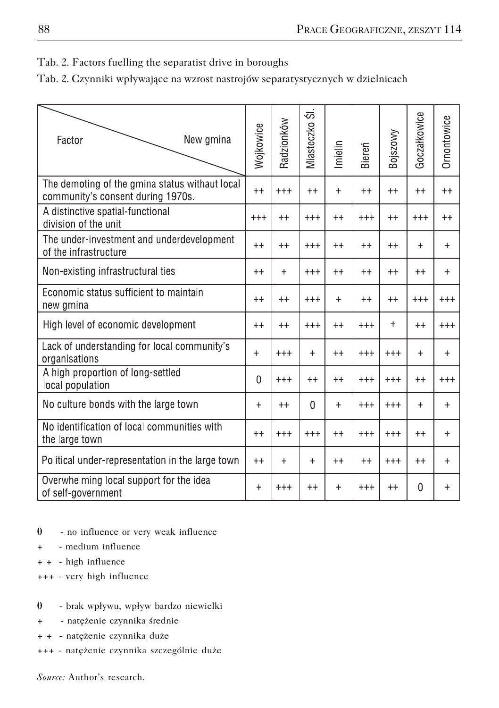### Tab. 2. Factors fuelling the separatist drive in boroughs

|  |  |  |  | Tab. 2. Czynniki wpływające na wzrost nastrojów separatystycznych w dzielnicach |  |
|--|--|--|--|---------------------------------------------------------------------------------|--|
|--|--|--|--|---------------------------------------------------------------------------------|--|

| New gmina<br>Factor                                                                 | Wojkowice | Radzionków | $\overline{\infty}$<br>Miasteczko | Imielin   | Biereń   | Bojszowy | Goczałkowice | Ornontowice |
|-------------------------------------------------------------------------------------|-----------|------------|-----------------------------------|-----------|----------|----------|--------------|-------------|
| The demoting of the gmina status withaut local<br>community's consent during 1970s. |           | $+++$      | $^{++}$                           | $+$       | $^{++}$  | $++$     | $^{++}$      | $++$        |
| A distinctive spatial-functional<br>division of the unit                            |           | $++$       | $^{+++}$                          | $++$      | $^{+++}$ | $++$     | $^{+++}$     | $++$        |
| The under-investment and underdevelopment<br>of the infrastructure                  |           | $++$       | $^{+++}$                          | $++$      | $++$     | $++$     | $^{+}$       | $\ddot{}$   |
| Non-existing infrastructural ties                                                   |           | $+$        | $^{+++}$                          | $++$      | $^{++}$  | $++$     | $++$         | $\ddot{}$   |
| Economic status sufficient to maintain<br>new gmina                                 |           | $++$       | $^{+++}$                          | $\ddot{}$ | $++$     | $++$     | $^{+++}$     | $^{+++}$    |
| High level of economic development                                                  |           | $++$       | $^{+++}$                          | $++$      | $+++$    | $+$      | $^{++}$      | $^{+++}$    |
| Lack of understanding for local community's<br>organisations                        |           | $^{+++}$   | $+$                               | $++$      | $^{+++}$ | $^{+++}$ | $+$          | $+$         |
| A high proportion of long-settled<br>local population                               |           | $^{+++}$   | $++$                              | $++$      | $^{+++}$ | $^{+++}$ | $++$         | $^{+++}$    |
| No culture bonds with the large town                                                |           | $^{++}$    | $\Omega$                          | $+$       | $^{+++}$ | $^{+++}$ | $^{+}$       | $+$         |
| No identification of local communities with<br>the large town                       |           | $^{+++}$   | $^{+++}$                          | $++$      | $^{+++}$ | $^{+++}$ | $++$         | $+$         |
| Political under-representation in the large town                                    |           | $+$        | $+$                               | $++$      | $++$     | $+++$    | $^{++}$      | $+$         |
| Overwhelming local support for the idea<br>of self-government                       |           | $^{+++}$   | $^{++}$                           | $\ddot{}$ | $^{++}$  | $^{++}$  | 0            | $\ddot{}$   |

- **0** − no influence or very weak influence
- **+** − medium influence
- **+ +** − high influence
- **+++** − very high influence

#### **0** − brak wpływu, wpływ bardzo niewielki

- **+** − natężenie czynnika średnie
- **+ +** − natężenie czynnika duże
- **+++** − natężenie czynnika szczególnie duże

*Source:* Author's research.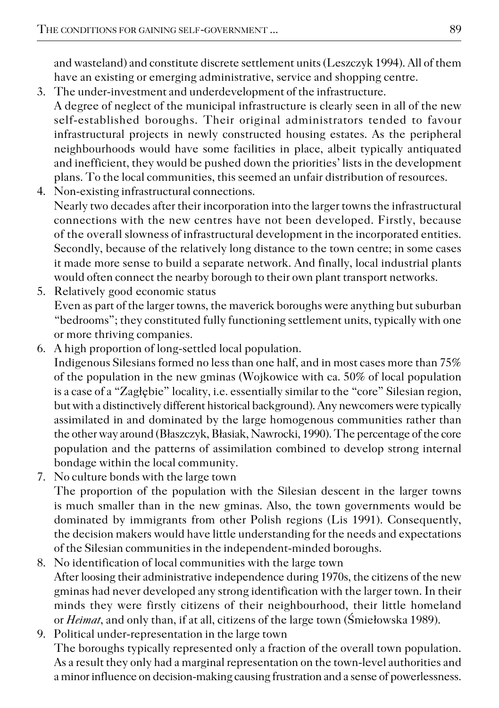and wasteland) and constitute discrete settlement units (Leszczyk 1994). All of them have an existing or emerging administrative, service and shopping centre.

- 3. The under−investment and underdevelopment of the infrastructure.
- A degree of neglect of the municipal infrastructure is clearly seen in all of the new self−established boroughs. Their original administrators tended to favour infrastructural projects in newly constructed housing estates. As the peripheral neighbourhoods would have some facilities in place, albeit typically antiquated and inefficient, they would be pushed down the priorities' lists in the development plans. To the local communities, this seemed an unfair distribution of resources.
- 4. Non−existing infrastructural connections. Nearly two decades after their incorporation into the larger towns the infrastructural connections with the new centres have not been developed. Firstly, because of the overall slowness of infrastructural development in the incorporated entities. Secondly, because of the relatively long distance to the town centre; in some cases it made more sense to build a separate network. And finally, local industrial plants would often connect the nearby borough to their own plant transport networks.
- 5. Relatively good economic status Even as part of the larger towns, the maverick boroughs were anything but suburban "bedrooms"; they constituted fully functioning settlement units, typically with one or more thriving companies.
- 6. A high proportion of long−settled local population. Indigenous Silesians formed no less than one half, and in most cases more than 75% of the population in the new gminas (Wojkowice with ca. 50% of local population is a case of a "Zagłębie" locality, i.e. essentially similar to the "core" Silesian region, but with a distinctively different historical background). Any newcomers were typically assimilated in and dominated by the large homogenous communities rather than the other way around (Błaszczyk, Błasiak, Nawrocki, 1990). The percentage of the core population and the patterns of assimilation combined to develop strong internal bondage within the local community.
- 7. No culture bonds with the large town The proportion of the population with the Silesian descent in the larger towns is much smaller than in the new gminas. Also, the town governments would be dominated by immigrants from other Polish regions (Lis 1991). Consequently, the decision makers would have little understanding for the needs and expectations of the Silesian communities in the independent−minded boroughs.
- 8. No identification of local communities with the large town After loosing their administrative independence during 1970s, the citizens of the new gminas had never developed any strong identification with the larger town. In their minds they were firstly citizens of their neighbourhood, their little homeland or *Heimat*, and only than, if at all, citizens of the large town (Śmiełowska 1989).
- 9. Political under−representation in the large town The boroughs typically represented only a fraction of the overall town population. As a result they only had a marginal representation on the town−level authorities and a minor influence on decision−making causing frustration and a sense of powerlessness.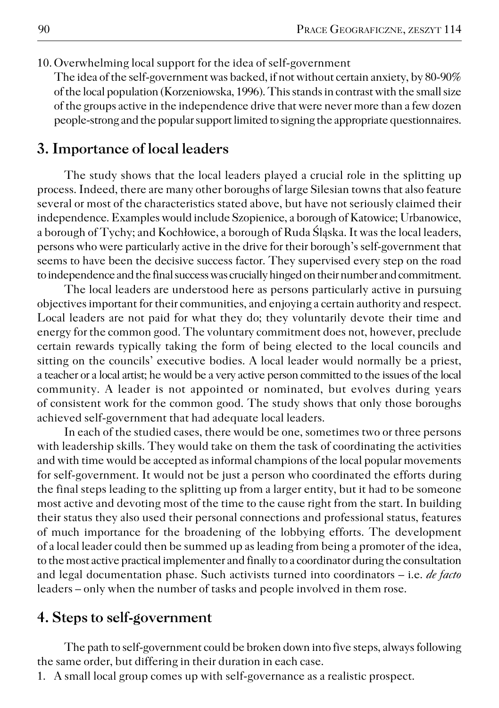10.Overwhelming local support for the idea of self−government

The idea of the self−government was backed, if not without certain anxiety, by 80−90% of the local population (Korzeniowska, 1996). This stands in contrast with the small size of the groups active in the independence drive that were never more than a few dozen people−strong and the popular support limited to signing the appropriate questionnaires.

### **3. Importance of local leaders**

The study shows that the local leaders played a crucial role in the splitting up process. Indeed, there are many other boroughs of large Silesian towns that also feature several or most of the characteristics stated above, but have not seriously claimed their independence. Examples would include Szopienice, a borough of Katowice; Urbanowice, a borough of Tychy; and Kochłowice, a borough of Ruda Śląska. It was the local leaders, persons who were particularly active in the drive for their borough's self−government that seems to have been the decisive success factor. They supervised every step on the road to independence and the final success was crucially hinged on their number and commitment.

The local leaders are understood here as persons particularly active in pursuing objectives important for their communities, and enjoying a certain authority and respect. Local leaders are not paid for what they do; they voluntarily devote their time and energy for the common good. The voluntary commitment does not, however, preclude certain rewards typically taking the form of being elected to the local councils and sitting on the councils' executive bodies. A local leader would normally be a priest, a teacher or a local artist; he would be a very active person committed to the issues of the local community. A leader is not appointed or nominated, but evolves during years of consistent work for the common good. The study shows that only those boroughs achieved self−government that had adequate local leaders.

In each of the studied cases, there would be one, sometimes two or three persons with leadership skills. They would take on them the task of coordinating the activities and with time would be accepted as informal champions of the local popular movements for self−government. It would not be just a person who coordinated the efforts during the final steps leading to the splitting up from a larger entity, but it had to be someone most active and devoting most of the time to the cause right from the start. In building their status they also used their personal connections and professional status, features of much importance for the broadening of the lobbying efforts. The development of a local leader could then be summed up as leading from being a promoter of the idea, to the most active practical implementer and finally to a coordinator during the consultation and legal documentation phase. Such activists turned into coordinators – i.e. *de facto* leaders – only when the number of tasks and people involved in them rose.

### **4. Steps to self−government**

The path to self−government could be broken down into five steps, always following the same order, but differing in their duration in each case.

1. A small local group comes up with self−governance as a realistic prospect.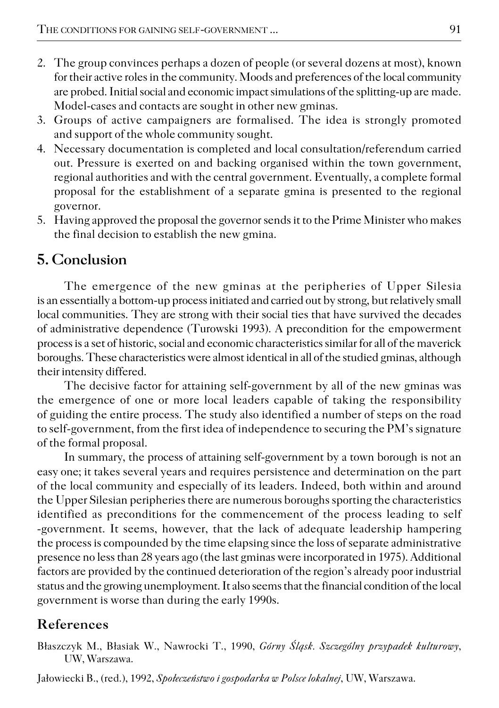- 2. The group convinces perhaps a dozen of people (or several dozens at most), known for their active roles in the community. Moods and preferences of the local community are probed. Initial social and economic impact simulations of the splitting−up are made. Model−cases and contacts are sought in other new gminas.
- 3. Groups of active campaigners are formalised. The idea is strongly promoted and support of the whole community sought.
- 4. Necessary documentation is completed and local consultation/referendum carried out. Pressure is exerted on and backing organised within the town government, regional authorities and with the central government. Eventually, a complete formal proposal for the establishment of a separate gmina is presented to the regional governor.
- 5. Having approved the proposal the governor sends it to the Prime Minister who makes the final decision to establish the new gmina.

# **5. Conclusion**

The emergence of the new gminas at the peripheries of Upper Silesia is an essentially a bottom−up process initiated and carried out by strong, but relatively small local communities. They are strong with their social ties that have survived the decades of administrative dependence (Turowski 1993). A precondition for the empowerment process is a set of historic, social and economic characteristics similar for all of the maverick boroughs. These characteristics were almost identical in all of the studied gminas, although their intensity differed.

The decisive factor for attaining self−government by all of the new gminas was the emergence of one or more local leaders capable of taking the responsibility of guiding the entire process. The study also identified a number of steps on the road to self−government, from the first idea of independence to securing the PM's signature of the formal proposal.

In summary, the process of attaining self−government by a town borough is not an easy one; it takes several years and requires persistence and determination on the part of the local community and especially of its leaders. Indeed, both within and around the Upper Silesian peripheries there are numerous boroughs sporting the characteristics identified as preconditions for the commencement of the process leading to self −government. It seems, however, that the lack of adequate leadership hampering the process is compounded by the time elapsing since the loss of separate administrative presence no less than 28 years ago (the last gminas were incorporated in 1975). Additional factors are provided by the continued deterioration of the region's already poor industrial status and the growing unemployment. It also seems that the financial condition of the local government is worse than during the early 1990s.

# **References**

Błaszczyk M., Błasiak W., Nawrocki T., 1990, *Górny Śląsk. Szczególny przypadek kulturowy*, UW, Warszawa.

Jałowiecki B., (red.), 1992, *Społeczeństwo i gospodarka w Polsce lokalnej*, UW, Warszawa.